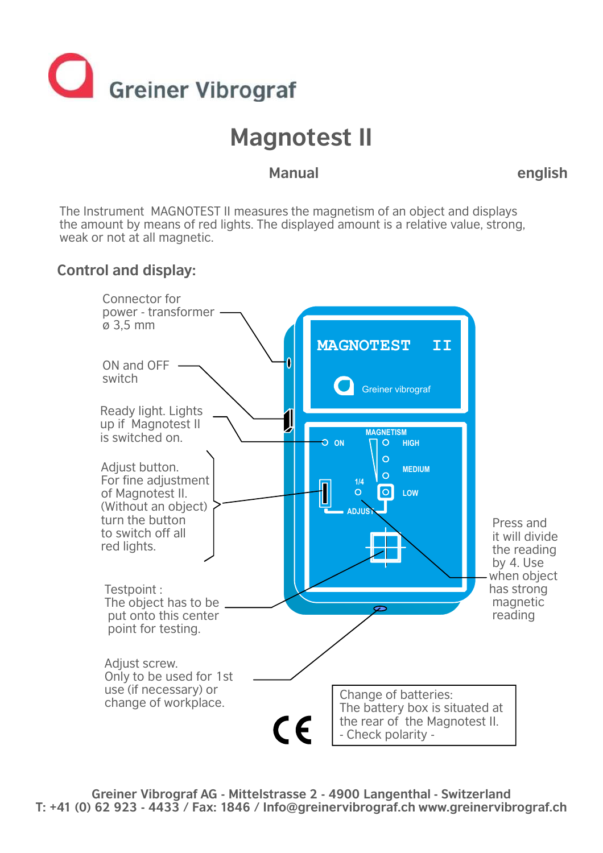

# **Magnotest II**

### **Manual english**

The Instrument MAGNOTEST II measures the magnetism of an object and displays the amount by means of red lights. The displayed amount is a relative value, strong, weak or not at all magnetic.

#### **Control and display:**



**Greiner Vibrograf AG - Mittelstrasse 2 - 4900 Langenthal - Switzerland T: +41 (0) 62 923 - 4433 / Fax: 1846 / Info@greinervibrograf.ch www.greinervibrograf.ch**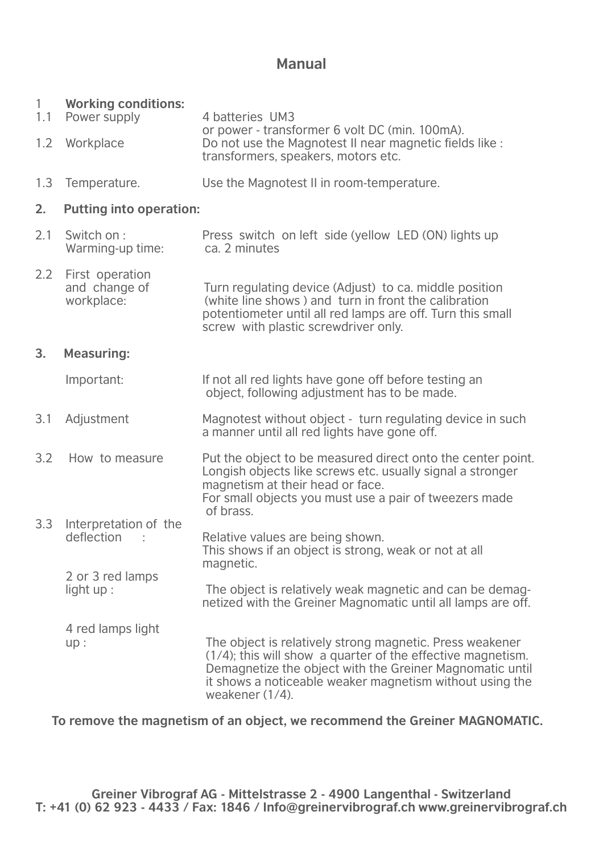#### **Manual**

| $\mathbf{1}$<br>1.1<br>1.2 | <b>Working conditions:</b><br>Power supply<br>Workplace | 4 batteries UM3<br>or power - transformer 6 volt DC (min. 100mA).<br>Do not use the Magnotest II near magnetic fields like :<br>transformers, speakers, motors etc.                                                                                                   |  |  |  |
|----------------------------|---------------------------------------------------------|-----------------------------------------------------------------------------------------------------------------------------------------------------------------------------------------------------------------------------------------------------------------------|--|--|--|
| 1.3                        | Temperature.                                            | Use the Magnotest II in room-temperature.                                                                                                                                                                                                                             |  |  |  |
| 2.                         | <b>Putting into operation:</b>                          |                                                                                                                                                                                                                                                                       |  |  |  |
| 2.1                        | Switch on:<br>Warming-up time:                          | Press switch on left side (yellow LED (ON) lights up<br>ca. 2 minutes                                                                                                                                                                                                 |  |  |  |
| 2.2                        | First operation<br>and change of<br>workplace:          | Turn regulating device (Adjust) to ca. middle position<br>(white line shows) and turn in front the calibration<br>potentiometer until all red lamps are off. Turn this small<br>screw with plastic screwdriver only.                                                  |  |  |  |
| 3.                         | <b>Measuring:</b>                                       |                                                                                                                                                                                                                                                                       |  |  |  |
|                            | Important:                                              | If not all red lights have gone off before testing an<br>object, following adjustment has to be made.                                                                                                                                                                 |  |  |  |
| 3.1                        | Adjustment                                              | Magnotest without object - turn regulating device in such<br>a manner until all red lights have gone off.                                                                                                                                                             |  |  |  |
| 3.2                        | How to measure                                          | Put the object to be measured direct onto the center point.<br>Longish objects like screws etc. usually signal a stronger<br>magnetism at their head or face.<br>For small objects you must use a pair of tweezers made<br>of brass.                                  |  |  |  |
| 3.3                        | Interpretation of the<br>deflection                     | Relative values are being shown.<br>This shows if an object is strong, weak or not at all<br>magnetic.                                                                                                                                                                |  |  |  |
|                            | 2 or 3 red lamps<br>light $up:$                         | The object is relatively weak magnetic and can be demag-<br>netized with the Greiner Magnomatic until all lamps are off.                                                                                                                                              |  |  |  |
|                            | 4 red lamps light<br>up:                                | The object is relatively strong magnetic. Press weakener<br>(1/4); this will show a quarter of the effective magnetism.<br>Demagnetize the object with the Greiner Magnomatic until<br>it shows a noticeable weaker magnetism without using the<br>weakener $(1/4)$ . |  |  |  |

**To remove the magnetism of an object, we recommend the Greiner MAGNOMATIC.**